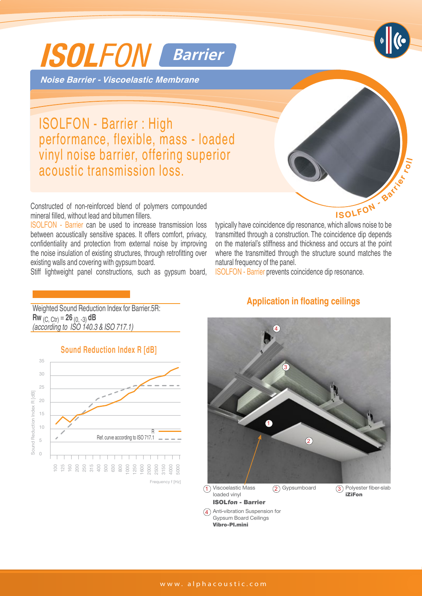

**Noise Barrier - Viscoelastic Membrane**

ISOLFON - Barrier : High performance, flexible, mass - loaded vinyl noise barrier, offering superior acoustic transmission loss.

Constructed of non-reinforced blend of polymers compounded mineral filled, without lead and bitumen fillers.

ISOLFON - Barrier can be used to increase transmission loss between acoustically sensitive spaces. It offers comfort, privacy, confidentiality and protection from external noise by improving the noise insulation of existing structures, through retrofitting over existing walls and covering with gypsum board.

Stiff lightweight panel constructions, such as gypsum board,



typically have coincidence dip resonance, which allows noise to be transmitted through a construction. The coincidence dip depends on the material's stiffness and thickness and occurs at the point where the transmitted through the structure sound matches the natural frequency of the panel.

ISOLFON - Barrier prevents coincidence dip resonance.

Weighted Sound Reduction Index for Barrier.5R: **Rw** (C, Ctr) = **26** (0, -3) **dB** *(according to ISO 140.3 & ISO 717.1)* 

 $A_{\rm{G}}$  and  $A_{\rm{G}}$  are the characteristics of  $\mathcal{A}_{\rm{G}}$ 





## **Application in floating ceilings**